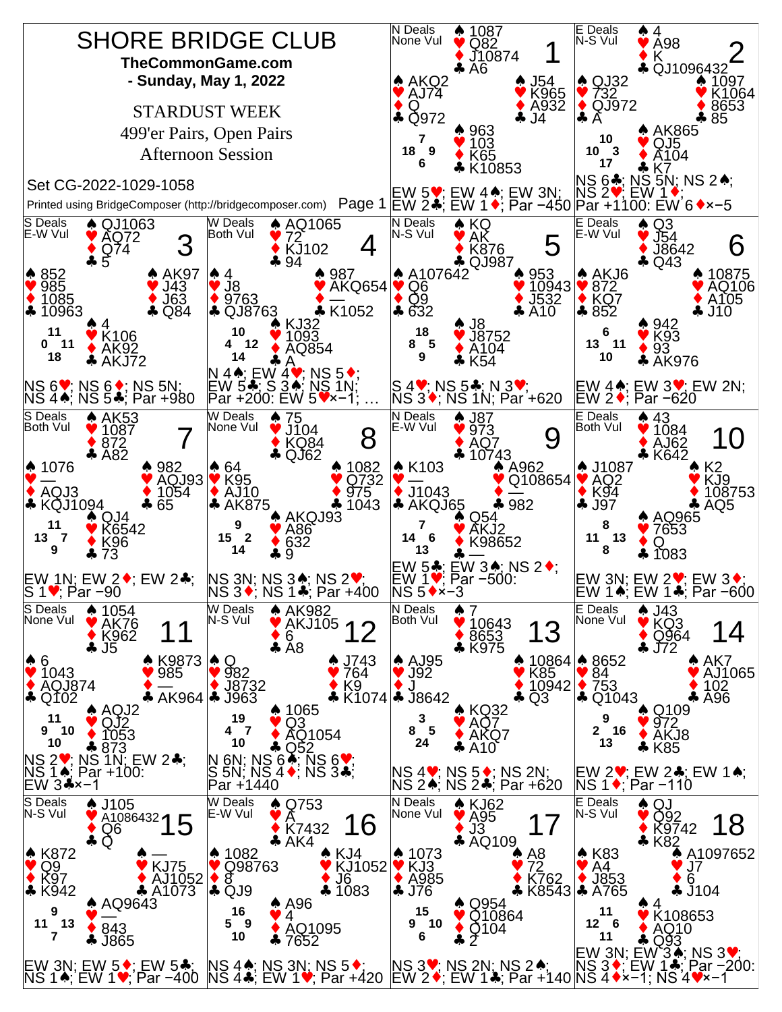